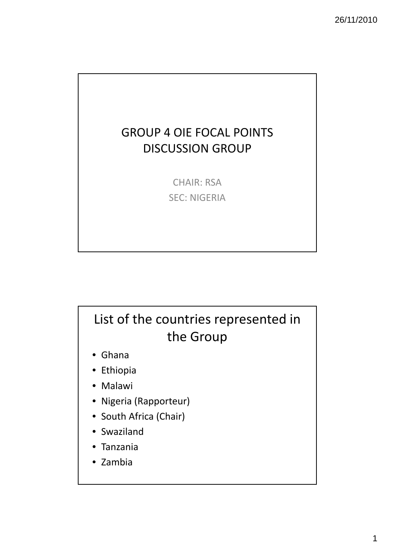### GROUP 4 OIE FOCAL POINTS DISCUSSION GROUP

CHAIR: RSA SEC: NIGERIA

# List of the countries represented in the Group

- Ghana
- Ethiopia
- Malawi
- Nigeria (Rapporteur)
- South Africa (Chair)
- Swaziland
- Tanzania
- Zambia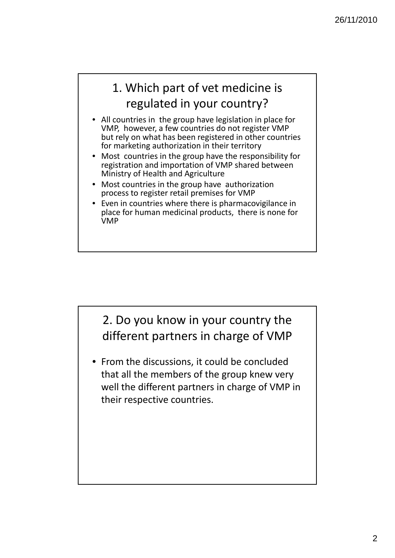## 1. Which part of vet medicine is regulated in your country?

- All countries in the group have legislation in place for VMP, however, a few countries do not register VMP but rely on what has been registered in other countries for marketing authorization in their territory
- Most countries in the group have the responsibility for registration and importation of VMP shared between Ministry of Health and Agriculture
- Most countries in the group have authorization process to register retail premises for VMP
- Even in countries where there is pharmacovigilance in place for human medicinal products, there is none for VMP

#### 2. Do you know in your country the different partners in charge of VMP

• From the discussions, it could be concluded that all the members of the group knew very well the different partners in charge of VMP in their respective countries.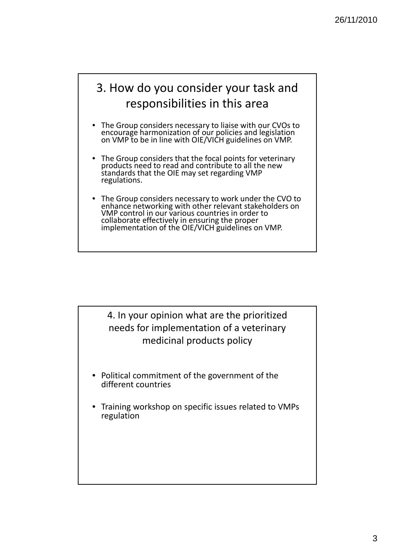

- The Group considers necessary to liaise with our CVOs to encourage harmonization of our policies and legislation on VMP to be in line with OIE/VICH guidelines on VMP.
- The Group considers that the focal points for veterinary products need to read and contribute to all the new standards that the OIE may set regarding VMP regulations.
- The Group considers necessary to work under the CVO to enhance networking with other relevant stakeholders on VMP control in our various countries in order to collaborate effectively in ensuring the proper<br>implementation of the OIE/VICH guidelines on VMP.

4. In your opinion what are the prioritized needs for implementation of a veterinary medicinal products policy

- Political commitment of the government of the different countries
- Training workshop on specific issues related to VMPs regulation